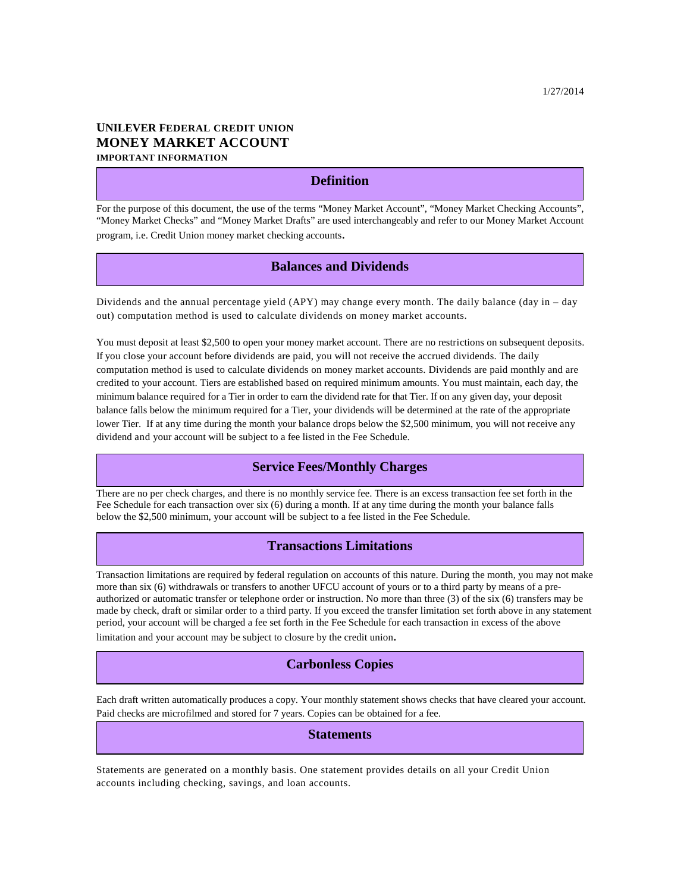# **UNILEVER FEDERAL CREDIT UNION MONEY MARKET ACCOUNT IMPORTANT INFORMATION**

# **Definition**

For the purpose of this document, the use of the terms "Money Market Account", "Money Market Checking Accounts", "Money Market Checks" and "Money Market Drafts" are used interchangeably and refer to our Money Market Account program, i.e. Credit Union money market checking accounts.

# **Balances and Dividends**

Dividends and the annual percentage yield (APY) may change every month. The daily balance (day in – day out) computation method is used to calculate dividends on money market accounts.

You must deposit at least \$2,500 to open your money market account. There are no restrictions on subsequent deposits. If you close your account before dividends are paid, you will not receive the accrued dividends. The daily computation method is used to calculate dividends on money market accounts. Dividends are paid monthly and are credited to your account. Tiers are established based on required minimum amounts. You must maintain, each day, the minimum balance required for a Tier in order to earn the dividend rate for that Tier. If on any given day, your deposit balance falls below the minimum required for a Tier, your dividends will be determined at the rate of the appropriate lower Tier. If at any time during the month your balance drops below the \$2,500 minimum, you will not receive any dividend and your account will be subject to a fee listed in the Fee Schedule.

## **Service Fees/Monthly Charges**

There are no per check charges, and there is no monthly service fee. There is an excess transaction fee set forth in the Fee Schedule for each transaction over six (6) during a month. If at any time during the month your balance falls below the \$2,500 minimum, your account will be subject to a fee listed in the Fee Schedule.

#### **Transactions Limitations**

Transaction limitations are required by federal regulation on accounts of this nature. During the month, you may not make more than six (6) withdrawals or transfers to another UFCU account of yours or to a third party by means of a preauthorized or automatic transfer or telephone order or instruction. No more than three (3) of the six (6) transfers may be made by check, draft or similar order to a third party. If you exceed the transfer limitation set forth above in any statement period, your account will be charged a fee set forth in the Fee Schedule for each transaction in excess of the above limitation and your account may be subject to closure by the credit union.

## **Carbonless Copies**

Each draft written automatically produces a copy. Your monthly statement shows checks that have cleared your account. Paid checks are microfilmed and stored for 7 years. Copies can be obtained for a fee.

#### **Statements**

Statements are generated on a monthly basis. One statement provides details on all your Credit Union accounts including checking, savings, and loan accounts.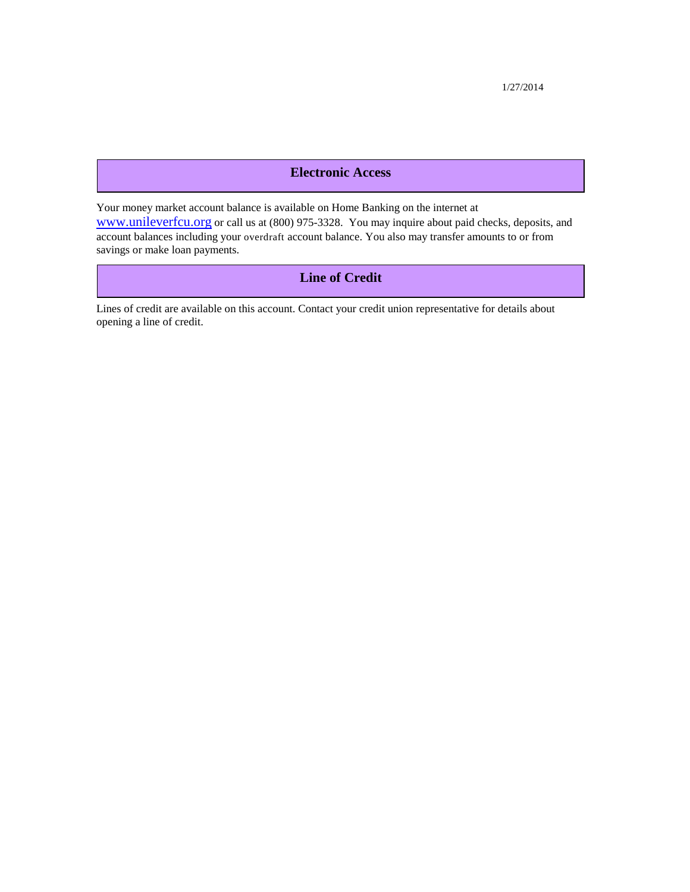1/27/2014

# **Electronic Access**

Your money market account balance is available on Home Banking on the internet at www.unileverfcu.org or call us at (800) 975-3328. You may inquire about paid checks, deposits, and account balances including your overdraft account balance. You also may transfer amounts to or from savings or make loan payments.

# **Line of Credit**

Lines of credit are available on this account. Contact your credit union representative for details about opening a line of credit.